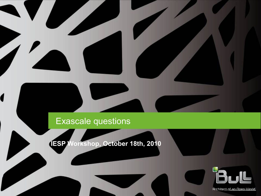#### Exascale questions

1

**IESP Workshop, October 18th, 2010**



Architect of an Open World.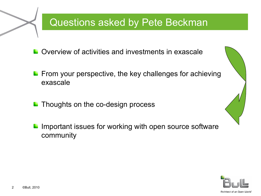# Questions asked by Pete Beckman

Overview of activities and investments in exascale

- $\blacksquare$  From your perspective, the key challenges for achieving exascale
- Thoughts on the co-design process
- Important issues for working with open source software community



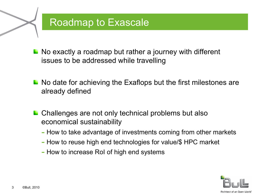#### Roadmap to Exascale

No exactly a roadmap but rather a journey with different issues to be addressed while travelling

- No date for achieving the Exaflops but the first milestones are already defined
- Challenges are not only technical problems but also economical sustainability
	- How to take advantage of investments coming from other markets
	- How to reuse high end technologies for value/\$ HPC market
	- How to increase RoI of high end systems

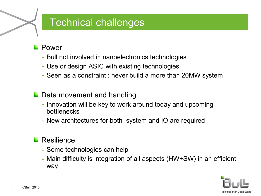## Technical challenges

- Power
	- Bull not involved in nanoelectronics technologies
	- Use or design ASIC with existing technologies
	- Seen as a constraint : never build a more than 20MW system
- **L** Data movement and handling
	- Innovation will be key to work around today and upcoming bottlenecks
	- New architectures for both system and IO are required
- Resilience
	- Some technologies can help
	- Main difficulty is integration of all aspects (HW+SW) in an efficient way

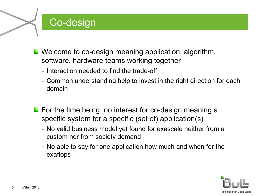# Co-design

- **L** Welcome to co-design meaning application, algorithm, software, hardware teams working together
	- Interaction needed to find the trade-off
	- Common understanding help to invest in the right direction for each domain
- **For the time being, no interest for co-design meaning a** specific system for a specific (set of) application(s)
	- No valid business model yet found for exascale neither from a custom nor from society demand
	- No able to say for one application how much and when for the exaflops

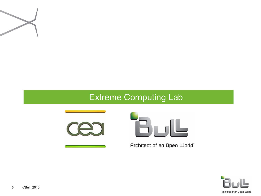

#### Extreme Computing Lab





Architect of an Open World"

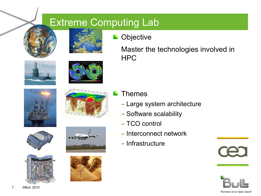# Extreme Computing Lab





**Objective**  $\mathcal{L}$ 

> Master the technologies involved in HPC

















Themes

- Large system architecture
- Software scalability
- TCO control
- Interconnect network
- Infrastructure



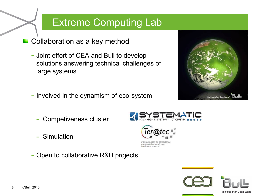### Extreme Computing Lab

Ter@

en simulation numérique ute nerformance

en de competence

- Collaboration as a key method
	- Joint effort of CEA and Bull to develop solutions answering technical challenges of large systems
	- Involved in the dynamism of eco-system
		- Competiveness cluster
		- Simulation
	- Open to collaborative R&D projects



Brebitect of an Onen Ulorld

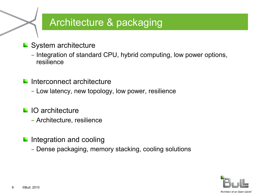# Architecture & packaging

- System architecture
	- Integration of standard CPU, hybrid computing, low power options, resilience
- Interconnect architecture
	- Low latency, new topology, low power, resilience
- **IO** architecture
	- Architecture, resilience
- Integration and cooling
	- Dense packaging, memory stacking, cooling solutions

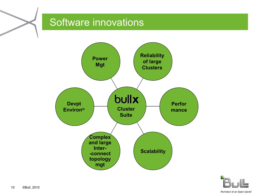# Software innovations





Architect of an Open World"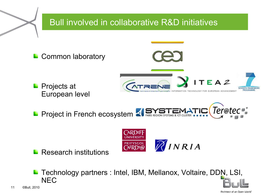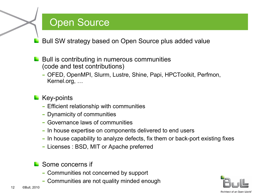#### Open Source

Bull SW strategy based on Open Source plus added value

- Bull is contributing in numerous communities (code and test contributions)
	- OFED, OpenMPI, Slurm, Lustre, Shine, Papi, HPCToolkit, Perfmon, Kernel.org, …

#### **Key-points**

- Efficient relationship with communities
- Dynamicity of communities
- Governance laws of communities
- In house expertise on components delivered to end users
- In house capability to analyze defects, fix them or back-port existing fixes
- Licenses : BSD, MIT or Apache preferred

#### Some concerns if

- Communities not concerned by support
- Communities are not quality minded enough